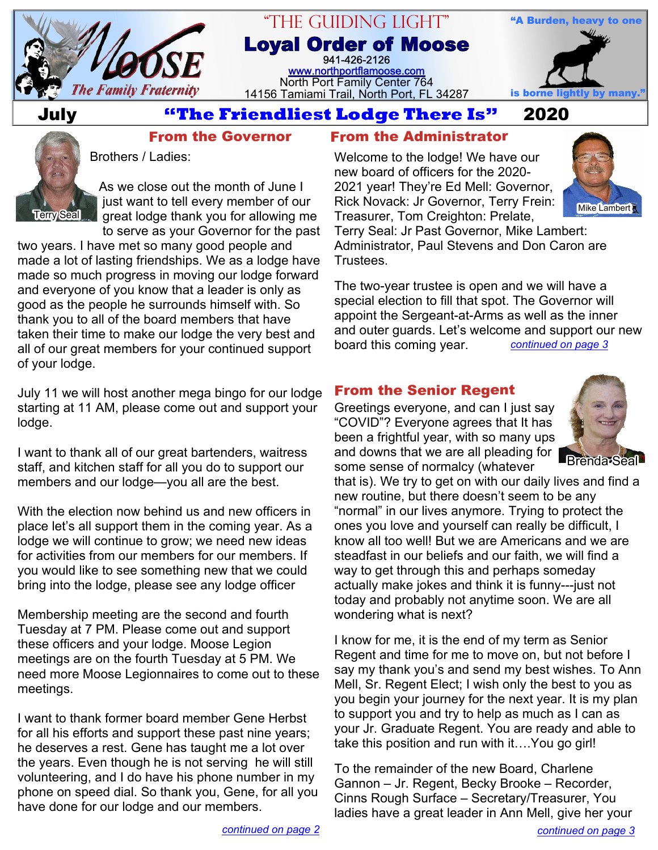

# "The Guiding Light" **Loyal Order of Moose**

941-426-2126 [www.northportflamoose.com](http://www.northportflamoose.com) North Port Family Center 764 14156 Tamiami Trail, North Port, FL 34287



# **July 2020**

### **From the Governor**



Brothers / Ladies:

As we close out the month of June I just want to tell every member of our great lodge thank you for allowing me to serve as your Governor for the past

two years. I have met so many good people and made a lot of lasting friendships. We as a lodge have made so much progress in moving our lodge forward and everyone of you know that a leader is only as good as the people he surrounds himself with. So thank you to all of the board members that have taken their time to make our lodge the very best and all of our great members for your continued support of your lodge.

July 11 we will host another mega bingo for our lodge starting at 11 AM, please come out and support your lodge.

I want to thank all of our great bartenders, waitress staff, and kitchen staff for all you do to support our members and our lodge—you all are the best.

With the election now behind us and new officers in place let's all support them in the coming year. As a lodge we will continue to grow; we need new ideas for activities from our members for our members. If you would like to see something new that we could bring into the lodge, please see any lodge officer

Membership meeting are the second and fourth Tuesday at 7 PM. Please come out and support these officers and your lodge. Moose Legion meetings are on the fourth Tuesday at 5 PM. We need more Moose Legionnaires to come out to these meetings.

I want to thank former board member Gene Herbst for all his efforts and support these past nine years; he deserves a rest. Gene has taught me a lot over the years. Even though he is not serving he will still volunteering, and I do have his phone number in my phone on speed dial. So thank you, Gene, for all you have done for our lodge and our members.

## **From the Administrator**

Welcome to the lodge! We have our new board of officers for the 2020- 2021 year! They're Ed Mell: Governor, Rick Novack: Jr Governor, Terry Frein: Treasurer, Tom Creighton: Prelate,



Terry Seal: Jr Past Governor, Mike Lambert: Administrator, Paul Stevens and Don Caron are Trustees.

The two-year trustee is open and we will have a special election to fill that spot. The Governor will appoint the Sergeant-at-Arms as well as the inner and outer guards. Let's welcome and support our new board this coming year. *[continued on page 3](#page-2-0)*

## **From the Senior Regent**

Greetings everyone, and can I just say "COVID"? Everyone agrees that It has been a frightful year, with so many ups and downs that we are all pleading for some sense of normalcy (whatever



**Rrenda<sup>T</sup>S** 

that is). We try to get on with our daily lives and find a new routine, but there doesn't seem to be any "normal" in our lives anymore. Trying to protect the ones you love and yourself can really be difficult, I know all too well! But we are Americans and we are steadfast in our beliefs and our faith, we will find a way to get through this and perhaps someday actually make jokes and think it is funny---just not today and probably not anytime soon. We are all wondering what is next?

I know for me, it is the end of my term as Senior Regent and time for me to move on, but not before I say my thank you's and send my best wishes. To Ann Mell, Sr. Regent Elect; I wish only the best to you as you begin your journey for the next year. It is my plan to support you and try to help as much as I can as your Jr. Graduate Regent. You are ready and able to take this position and run with it….You go girl!

To the remainder of the new Board, Charlene Gannon – Jr. Regent, Becky Brooke – Recorder, Cinns Rough Surface – Secretary/Treasurer, You ladies have a great leader in Ann Mell, give her your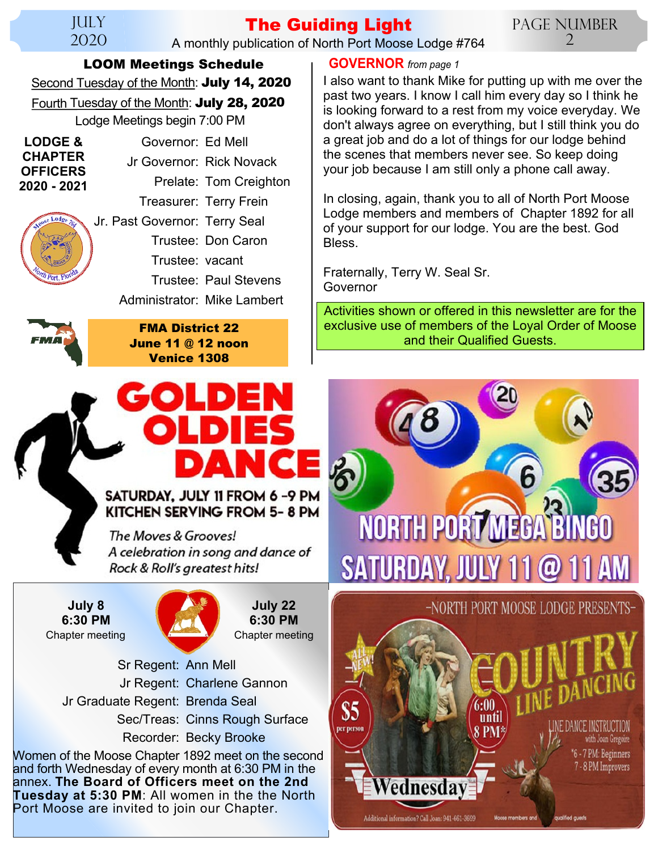#### **JULY** 2020

#### **The Guiding Light** A monthly publication of North Port Moose Lodge #764

Page Number  $\mathcal{D}_{\cdot}$ 

**LOOM Meetings Schedule**

Second Tuesday of the Month: **July 14, 2020**

Fourth Tuesday of the Month: **July 28, 2020** Lodge Meetings begin 7:00 PM

| <b>LODGE &amp;</b><br><b>CHAPTER</b><br><b>OFFICERS</b><br>2020 - 2021 | Governor: Ed Mell             |                              |  |  |
|------------------------------------------------------------------------|-------------------------------|------------------------------|--|--|
|                                                                        | Jr Governor: Rick Novack      |                              |  |  |
|                                                                        |                               | Prelate: Tom Creighton       |  |  |
|                                                                        |                               | Treasurer: Terry Frein       |  |  |
| Monse Lodge 76                                                         | Jr. Past Governor: Terry Seal |                              |  |  |
|                                                                        |                               | Trustee: Don Caron           |  |  |
| <b>Yorth Port, Flor</b>                                                | Trustee: vacant               |                              |  |  |
|                                                                        |                               | <b>Trustee: Paul Stevens</b> |  |  |
|                                                                        | Adminictrator: Mike Lambert   |                              |  |  |

Administrator: Mike Lambert



**FMA District 22 June 11 @ 12 noon Venice 1308**

#### <span id="page-1-0"></span>**GOVERNOR** *from page 1*

I also want to thank Mike for putting up with me over the past two years. I know I call him every day so I think he is looking forward to a rest from my voice everyday. We don't always agree on everything, but I still think you do a great job and do a lot of things for our lodge behind the scenes that members never see. So keep doing your job because I am still only a phone call away.

In closing, again, thank you to all of North Port Moose Lodge members and members of Chapter 1892 for all of your support for our lodge. You are the best. God Bless.

Fraternally, Terry W. Seal Sr. Governor

Activities shown or offered in this newsletter are for the exclusive use of members of the Loyal Order of Moose and their Qualified Guests.

# SATURDAY, JULY 11 FROM 6-9 PM

KITCHEN SERVING FROM 5-8 PM

The Moves & Grooves! A celebration in song and dance of Rock & Roll's greatest hits!

Chapter meeting Chapter meeting **July 8 6:30 PM**



**July 22 6:30 PM**

 Sr Regent: Ann Mell Jr Regent: Charlene Gannon Jr Graduate Regent: Brenda Seal Sec/Treas: Cinns Rough Surface Recorder: Becky Brooke

Women of the Moose Chapter 1892 meet on the second and forth Wednesday of every month at 6:30 PM in the annex. **The Board of Officers meet on the 2nd Tuesday at 5:30 PM**: All women in the the North Port Moose are invited to join our Chapter.

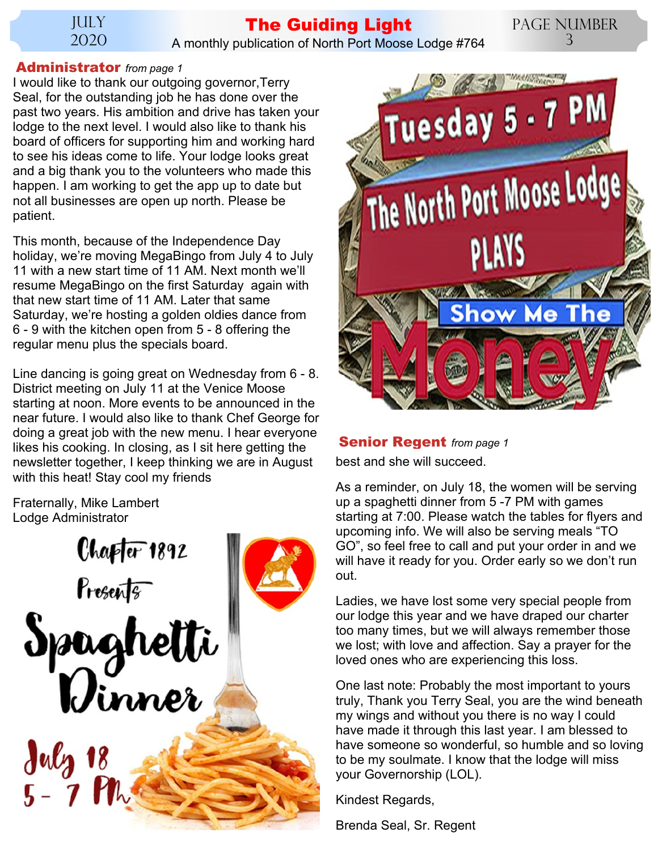JULY 2020

## **The Guiding Light**

Page Number 3

A monthly publication of North Port Moose Lodge #764

#### <span id="page-2-0"></span>**Administrator** *from page 1*

I would like to thank our outgoing governor,Terry Seal, for the outstanding job he has done over the past two years. His ambition and drive has taken your lodge to the next level. I would also like to thank his board of officers for supporting him and working hard to see his ideas come to life. Your lodge looks great and a big thank you to the volunteers who made this happen. I am working to get the app up to date but not all businesses are open up north. Please be patient.

This month, because of the Independence Day holiday, we're moving MegaBingo from July 4 to July 11 with a new start time of 11 AM. Next month we'll resume MegaBingo on the first Saturday again with that new start time of 11 AM. Later that same Saturday, we're hosting a golden oldies dance from 6 - 9 with the kitchen open from 5 - 8 offering the regular menu plus the specials board.

Line dancing is going great on Wednesday from 6 - 8. District meeting on July 11 at the Venice Moose starting at noon. More events to be announced in the near future. I would also like to thank Chef George for doing a great job with the new menu. I hear everyone likes his cooking. In closing, as I sit here getting the newsletter together, I keep thinking we are in August with this heat! Stay cool my friends

Fraternally, Mike Lambert Lodge Administrator





#### <span id="page-2-1"></span>**Senior Regent** *from page 1*

best and she will succeed.

As a reminder, on July 18, the women will be serving up a spaghetti dinner from 5 -7 PM with games starting at 7:00. Please watch the tables for flyers and upcoming info. We will also be serving meals "TO GO", so feel free to call and put your order in and we will have it ready for you. Order early so we don't run out.

Ladies, we have lost some very special people from our lodge this year and we have draped our charter too many times, but we will always remember those we lost; with love and affection. Say a prayer for the loved ones who are experiencing this loss.

One last note: Probably the most important to yours truly, Thank you Terry Seal, you are the wind beneath my wings and without you there is no way I could have made it through this last year. I am blessed to have someone so wonderful, so humble and so loving to be my soulmate. I know that the lodge will miss your Governorship (LOL).

Kindest Regards,

Brenda Seal, Sr. Regent